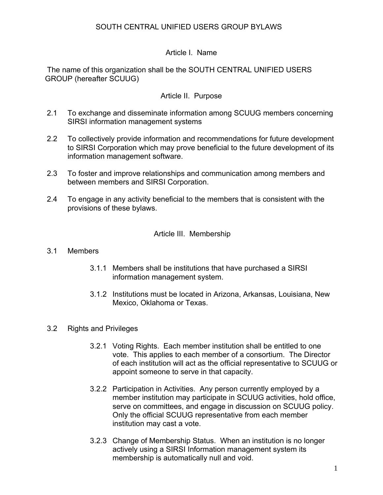# Article I. Name

 The name of this organization shall be the SOUTH CENTRAL UNIFIED USERS GROUP (hereafter SCUUG)

## Article II. Purpose

- 2.1 To exchange and disseminate information among SCUUG members concerning SIRSI information management systems
- 2.2 To collectively provide information and recommendations for future development to SIRSI Corporation which may prove beneficial to the future development of its information management software.
- 2.3 To foster and improve relationships and communication among members and between members and SIRSI Corporation.
- 2.4 To engage in any activity beneficial to the members that is consistent with the provisions of these bylaws.

### Article III. Membership

#### 3.1 Members

- 3.1.1 Members shall be institutions that have purchased a SIRSI information management system.
- 3.1.2 Institutions must be located in Arizona, Arkansas, Louisiana, New Mexico, Oklahoma or Texas.

### 3.2 Rights and Privileges

- 3.2.1 Voting Rights. Each member institution shall be entitled to one vote. This applies to each member of a consortium. The Director of each institution will act as the official representative to SCUUG or appoint someone to serve in that capacity.
- 3.2.2 Participation in Activities. Any person currently employed by a member institution may participate in SCUUG activities, hold office, serve on committees, and engage in discussion on SCUUG policy. Only the official SCUUG representative from each member institution may cast a vote.
- 3.2.3 Change of Membership Status. When an institution is no longer actively using a SIRSI Information management system its membership is automatically null and void.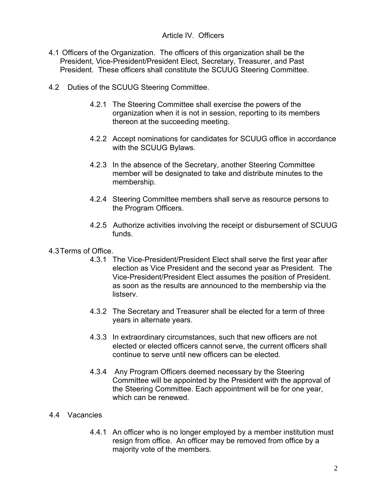## Article IV. Officers

- 4.1 Officers of the Organization. The officers of this organization shall be the President, Vice-President/President Elect, Secretary, Treasurer, and Past President. These officers shall constitute the SCUUG Steering Committee.
- 4.2 Duties of the SCUUG Steering Committee.
	- 4.2.1 The Steering Committee shall exercise the powers of the organization when it is not in session, reporting to its members thereon at the succeeding meeting.
	- 4.2.2 Accept nominations for candidates for SCUUG office in accordance with the SCUUG Bylaws.
	- 4.2.3 In the absence of the Secretary, another Steering Committee member will be designated to take and distribute minutes to the membership.
	- 4.2.4 Steering Committee members shall serve as resource persons to the Program Officers.
	- 4.2.5 Authorize activities involving the receipt or disbursement of SCUUG funds.
- 4.3 Terms of Office.
	- 4.3.1 The Vice-President/President Elect shall serve the first year after election as Vice President and the second year as President. The Vice-President/President Elect assumes the position of President. as soon as the results are announced to the membership via the listserv.
	- 4.3.2 The Secretary and Treasurer shall be elected for a term of three years in alternate years.
	- 4.3.3 In extraordinary circumstances, such that new officers are not elected or elected officers cannot serve, the current officers shall continue to serve until new officers can be elected.
	- 4.3.4 Any Program Officers deemed necessary by the Steering Committee will be appointed by the President with the approval of the Steering Committee. Each appointment will be for one year, which can be renewed.

### 4.4 Vacancies

4.4.1 An officer who is no longer employed by a member institution must resign from office. An officer may be removed from office by a majority vote of the members.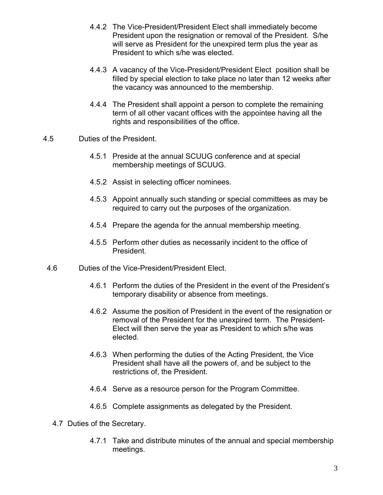- 4.4.2 The Vice-President/President Elect shall immediately become President upon the resignation or removal of the President. S/he will serve as President for the unexpired term plus the year as President to which s/he was elected.
- 4.4.3 A vacancy of the Vice-President/President Elect position shall be filled by special election to take place no later than 12 weeks after the vacancy was announced to the membership.
- 4.4.4 The President shall appoint a person to complete the remaining term of all other vacant offices with the appointee having all the rights and responsibilities of the office.
- 4.5 Duties of the President.
	- 4.5.1 Preside at the annual SCUUG conference and at special membership meetings of SCUUG.
	- 4.5.2 Assist in selecting officer nominees.
	- 4.5.3 Appoint annually such standing or special committees as may be required to carry out the purposes of the organization.
	- 4.5.4 Prepare the agenda for the annual membership meeting.
	- 4.5.5 Perform other duties as necessarily incident to the office of President.
- 4.6 Duties of the Vice-President/President Elect.
	- 4.6.1 Perform the duties of the President in the event of the President's temporary disability or absence from meetings.
	- 4.6.2 Assume the position of President in the event of the resignation or removal of the President for the unexpired term. The President-Elect will then serve the year as President to which s/he was elected.
	- 4.6.3 When performing the duties of the Acting President, the Vice President shall have all the powers of, and be subject to the restrictions of, the President.
	- 4.6.4 Serve as a resource person for the Program Committee.
	- 4.6.5 Complete assignments as delegated by the President.
	- 4.7 Duties of the Secretary.
		- 4.7.1 Take and distribute minutes of the annual and special membership meetings.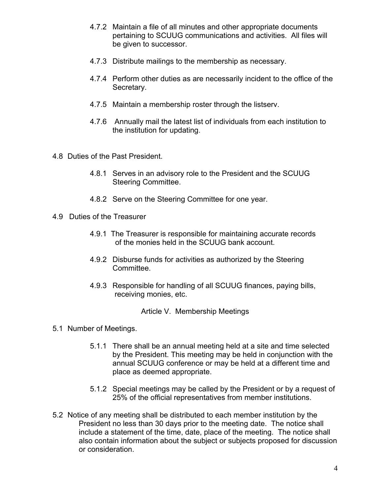- 4.7.2 Maintain a file of all minutes and other appropriate documents pertaining to SCUUG communications and activities. All files will be given to successor.
- 4.7.3 Distribute mailings to the membership as necessary.
- 4.7.4 Perform other duties as are necessarily incident to the office of the Secretary.
- 4.7.5 Maintain a membership roster through the listserv.
- 4.7.6 Annually mail the latest list of individuals from each institution to the institution for updating.
- 4.8 Duties of the Past President.
	- 4.8.1 Serves in an advisory role to the President and the SCUUG Steering Committee.
	- 4.8.2 Serve on the Steering Committee for one year.
- 4.9 Duties of the Treasurer
	- 4.9.1 The Treasurer is responsible for maintaining accurate records of the monies held in the SCUUG bank account.
	- 4.9.2 Disburse funds for activities as authorized by the Steering Committee.
	- 4.9.3 Responsible for handling of all SCUUG finances, paying bills, receiving monies, etc.

Article V. Membership Meetings

- 5.1 Number of Meetings.
	- 5.1.1 There shall be an annual meeting held at a site and time selected by the President. This meeting may be held in conjunction with the annual SCUUG conference or may be held at a different time and place as deemed appropriate.
	- 5.1.2 Special meetings may be called by the President or by a request of 25% of the official representatives from member institutions.
- 5.2 Notice of any meeting shall be distributed to each member institution by the President no less than 30 days prior to the meeting date. The notice shall include a statement of the time, date, place of the meeting. The notice shall also contain information about the subject or subjects proposed for discussion or consideration.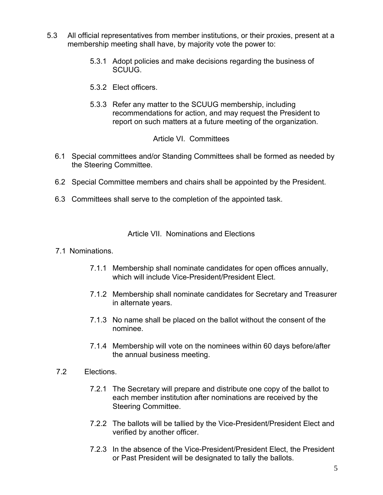- 5.3 All official representatives from member institutions, or their proxies, present at a membership meeting shall have, by majority vote the power to:
	- 5.3.1 Adopt policies and make decisions regarding the business of SCUUG.
	- 5.3.2 Elect officers.
	- 5.3.3 Refer any matter to the SCUUG membership, including recommendations for action, and may request the President to report on such matters at a future meeting of the organization.

### Article VI. Committees

- 6.1 Special committees and/or Standing Committees shall be formed as needed by the Steering Committee.
- 6.2 Special Committee members and chairs shall be appointed by the President.
- 6.3 Committees shall serve to the completion of the appointed task.

### Article VII. Nominations and Elections

#### 7.1 Nominations.

- 7.1.1 Membership shall nominate candidates for open offices annually, which will include Vice-President/President Flect.
- 7.1.2 Membership shall nominate candidates for Secretary and Treasurer in alternate years.
- 7.1.3 No name shall be placed on the ballot without the consent of the nominee.
- 7.1.4 Membership will vote on the nominees within 60 days before/after the annual business meeting.
- 7.2 Elections.
	- 7.2.1 The Secretary will prepare and distribute one copy of the ballot to each member institution after nominations are received by the Steering Committee.
	- 7.2.2 The ballots will be tallied by the Vice-President/President Elect and verified by another officer.
	- 7.2.3 In the absence of the Vice-President/President Elect, the President or Past President will be designated to tally the ballots.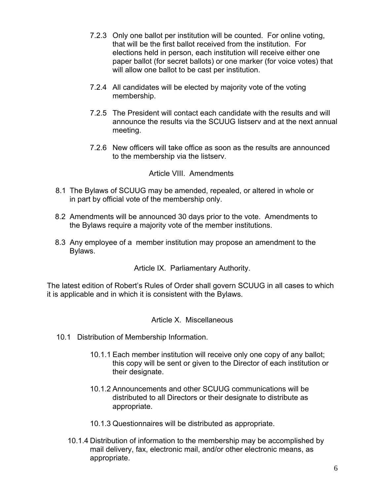- 7.2.3 Only one ballot per institution will be counted. For online voting, that will be the first ballot received from the institution. For elections held in person, each institution will receive either one paper ballot (for secret ballots) or one marker (for voice votes) that will allow one ballot to be cast per institution.
- 7.2.4 All candidates will be elected by majority vote of the voting membership.
- 7.2.5 The President will contact each candidate with the results and will announce the results via the SCUUG listserv and at the next annual meeting.
- 7.2.6 New officers will take office as soon as the results are announced to the membership via the listserv.

Article VIII. Amendments

- 8.1 The Bylaws of SCUUG may be amended, repealed, or altered in whole or in part by official vote of the membership only.
- 8.2 Amendments will be announced 30 days prior to the vote. Amendments to the Bylaws require a majority vote of the member institutions.
- 8.3 Any employee of a member institution may propose an amendment to the Bylaws.

Article IX. Parliamentary Authority.

The latest edition of Robert's Rules of Order shall govern SCUUG in all cases to which it is applicable and in which it is consistent with the Bylaws.

### Article X. Miscellaneous

- 10.1 Distribution of Membership Information.
	- 10.1.1 Each member institution will receive only one copy of any ballot; this copy will be sent or given to the Director of each institution or their designate.
	- 10.1.2 Announcements and other SCUUG communications will be distributed to all Directors or their designate to distribute as appropriate.
	- 10.1.3 Questionnaires will be distributed as appropriate.
	- 10.1.4 Distribution of information to the membership may be accomplished by mail delivery, fax, electronic mail, and/or other electronic means, as appropriate.